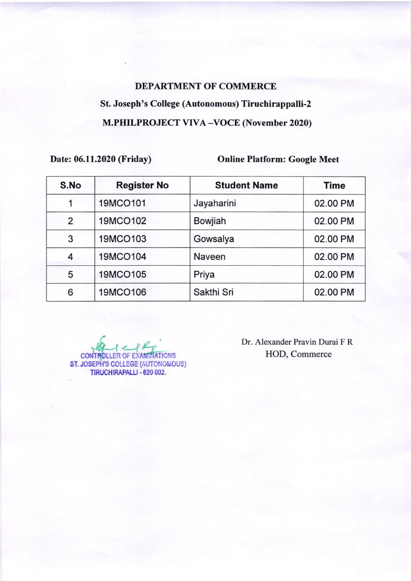## DEPARTMENT OF COMMERCE St. Joseph's College (Autonomous) Tiruchirappalli-2 M.PHILPROJECT VIVA-VOCE (November 2020)

Date: 06.11.2020 (Friday) Online Platform: Google Meet

| S.No | <b>Register No</b> | <b>Student Name</b> | <b>Time</b> |
|------|--------------------|---------------------|-------------|
|      | 19MCO101           | Jayaharini          | 02.00 PM    |
| 2    | 19MCO102           | Bowjiah             | 02.00 PM    |
| 3    | 19MCO103           | Gowsalya            | 02.00 PM    |
| 4    | 19MCO104           | Naveen              | 02.00 PM    |
| 5    | 19MCO105           | Priya               | 02.00 PM    |
| 6    | 19MCO106           | Sakthi Sri          | 02.00 PM    |

 $44$ CONTROLLER OF EXAMINATIONS HOD, Commerce ST. JOSEPH'S COLLEGE (AUTONOMOUS TIRUCHIRAPALLI . 620 OO2.

Dr. Alexander Pravin Durai F R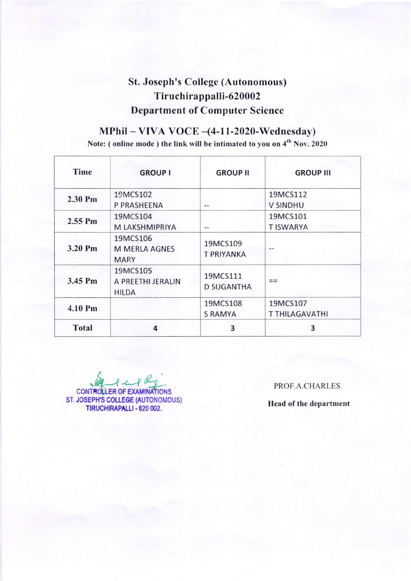## St. Joseph's College (Autonomous) Tiruchirappalli-620002 Department of Computer Science

## $MPhill - VIVA<sub>V</sub>OCE - (4-11-2020-Wednesday)$

Note: ( online mode ) the link will be intimated to you on 4<sup>th</sup> Nov. 2020

| Time      | <b>GROUP I</b>                                  | <b>GROUP II</b>               | <b>GROUP III</b>                  |
|-----------|-------------------------------------------------|-------------------------------|-----------------------------------|
| 2.30 Pm   | 19MCS102<br>P PRASHEENA                         | --                            | 19MCS112<br><b>V SINDHU</b>       |
| $2.55$ Pm | 19MCS104<br>M LAKSHMIPRIYA                      | --                            | 19MCS101<br><b>TISWARYA</b>       |
| 3.20 Pm   | 19MCS106<br><b>M MERLA AGNES</b><br><b>MARY</b> | 19MCS109<br>T PRIYANKA        |                                   |
| 3.45 Pm   | 19MCS105<br>A PREETHI JERALIN<br><b>HILDA</b>   | 19MCS111<br><b>D SUGANTHA</b> |                                   |
| 4.10 Pm   |                                                 | 19MCS108<br><b>S RAMYA</b>    | 19MCS107<br><b>T THILAGAVATHI</b> |
| Total     | 4                                               | 3                             | 3                                 |

CONTROLLER OF EXAMINATIONS ST. JOSEPH'S COLLEGE (AUTONOMOUS TIRUCHIRAPALLI - 620 002.

PROF.A.CHARLES

Head of the department